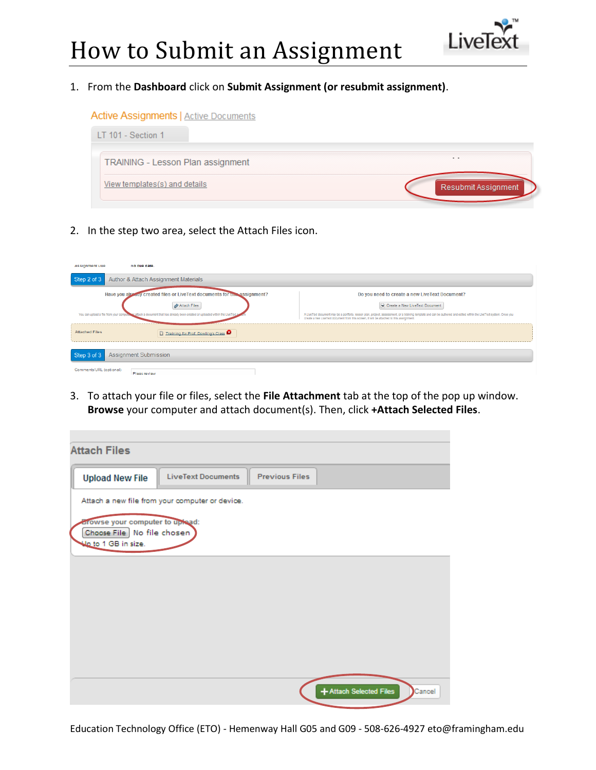

#### 1. From the **Dashboard** click on **Submit Assignment (or resubmit assignment)**.

#### **Active Assignments | Active Documents**



2. In the step two area, select the Attach Files icon.

| <b>Assignment Due</b>                                                                                                      | ivo que gate.                      |                                                                                                                                                                                                                                                                  |  |  |  |  |
|----------------------------------------------------------------------------------------------------------------------------|------------------------------------|------------------------------------------------------------------------------------------------------------------------------------------------------------------------------------------------------------------------------------------------------------------|--|--|--|--|
| Author & Attach Assignment Materials<br>Step 2 of 3                                                                        |                                    |                                                                                                                                                                                                                                                                  |  |  |  |  |
| Have you already created files or LiveText documents for une assignment?<br>Do you need to create a new LiveText Document? |                                    |                                                                                                                                                                                                                                                                  |  |  |  |  |
|                                                                                                                            | <b>//</b> Attach Files             | Create a New LiveText Document                                                                                                                                                                                                                                   |  |  |  |  |
| You can upload a file from your computer at attach a document that has already been created or uploaded within the LiveTe  |                                    | A LiveText document may be a portfolio, lesson plan, project, assessment, or a training template and can be authored and edited within the LiveText system. Once you<br>create a new LiveText document from this screen, it will be attached to this assignment. |  |  |  |  |
| <b>Attached Files</b>                                                                                                      | Training for Prof. Dowling's Class |                                                                                                                                                                                                                                                                  |  |  |  |  |
| <b>Assignment Submission</b><br>Step 3 of 3                                                                                |                                    |                                                                                                                                                                                                                                                                  |  |  |  |  |
| Comments/URL (optional)                                                                                                    | Pleas review                       |                                                                                                                                                                                                                                                                  |  |  |  |  |

3. To attach your file or files, select the **File Attachment** tab at the top of the pop up window. **Browse** your computer and attach document(s). Then, click **+Attach Selected Files**.

| <b>Attach Files</b>                                                                         |                                                 |                       |                         |        |  |  |
|---------------------------------------------------------------------------------------------|-------------------------------------------------|-----------------------|-------------------------|--------|--|--|
| <b>Upload New File</b>                                                                      | <b>LiveText Documents</b>                       | <b>Previous Files</b> |                         |        |  |  |
|                                                                                             | Attach a new file from your computer or device. |                       |                         |        |  |  |
| <b>Browse your computer to uplead:</b><br>Choose File No file chosen<br>Up to 1 GB in size. |                                                 |                       |                         |        |  |  |
|                                                                                             |                                                 |                       |                         |        |  |  |
|                                                                                             |                                                 |                       |                         |        |  |  |
|                                                                                             |                                                 |                       |                         |        |  |  |
|                                                                                             |                                                 |                       |                         |        |  |  |
|                                                                                             |                                                 |                       |                         |        |  |  |
|                                                                                             |                                                 |                       | + Attach Selected Files | Cancel |  |  |